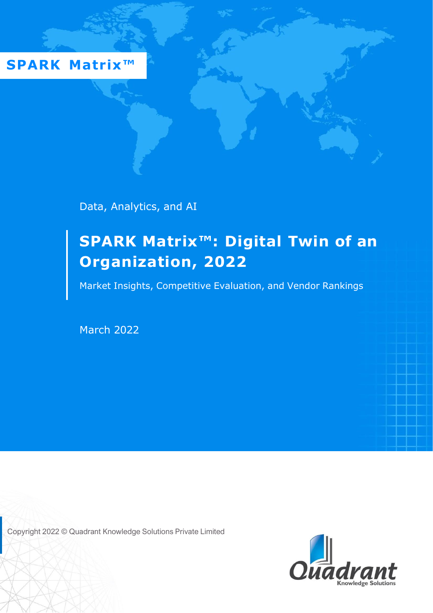**SPARK Matrix™** 

Data, Analytics, and AI

# **SPARK Matrix™: Digital Twin of an Organization, 2022**

Market Insights, Competitive Evaluation, and Vendor Rankings

March 2022

Copyright 2022 © Quadrant Knowledge Solutions Private Limited

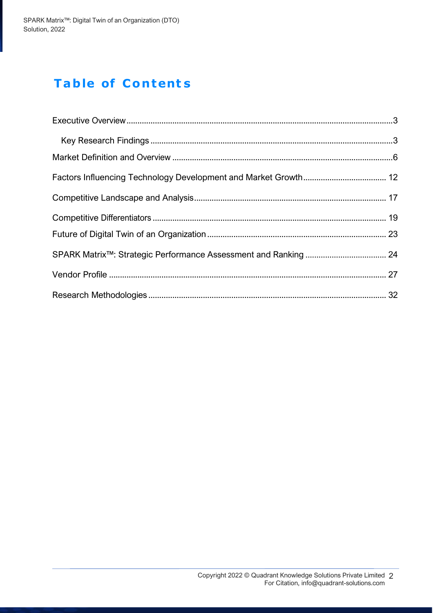# **Table of Content s**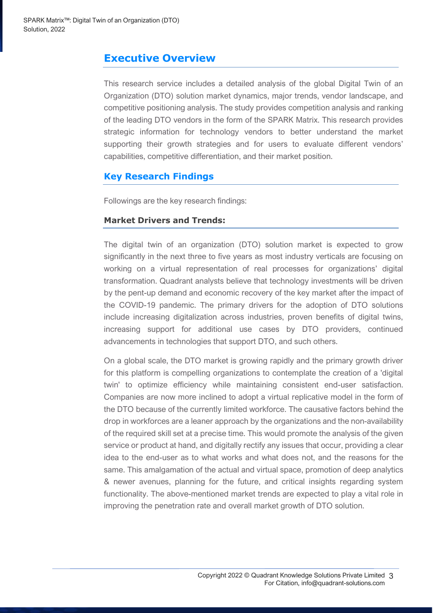### <span id="page-2-0"></span>**Executive Overview**

This research service includes a detailed analysis of the global Digital Twin of an Organization (DTO) solution market dynamics, major trends, vendor landscape, and competitive positioning analysis. The study provides competition analysis and ranking of the leading DTO vendors in the form of the SPARK Matrix. This research provides strategic information for technology vendors to better understand the market supporting their growth strategies and for users to evaluate different vendors' capabilities, competitive differentiation, and their market position.

### <span id="page-2-1"></span>**Key Research Findings**

Followings are the key research findings:

#### **Market Drivers and Trends:**

The digital twin of an organization (DTO) solution market is expected to grow significantly in the next three to five years as most industry verticals are focusing on working on a virtual representation of real processes for organizations' digital transformation. Quadrant analysts believe that technology investments will be driven by the pent-up demand and economic recovery of the key market after the impact of the COVID-19 pandemic. The primary drivers for the adoption of DTO solutions include increasing digitalization across industries, proven benefits of digital twins, increasing support for additional use cases by DTO providers, continued advancements in technologies that support DTO, and such others.

On a global scale, the DTO market is growing rapidly and the primary growth driver for this platform is compelling organizations to contemplate the creation of a 'digital twin' to optimize efficiency while maintaining consistent end-user satisfaction. Companies are now more inclined to adopt a virtual replicative model in the form of the DTO because of the currently limited workforce. The causative factors behind the drop in workforces are a leaner approach by the organizations and the non-availability of the required skill set at a precise time. This would promote the analysis of the given service or product at hand, and digitally rectify any issues that occur, providing a clear idea to the end-user as to what works and what does not, and the reasons for the same. This amalgamation of the actual and virtual space, promotion of deep analytics & newer avenues, planning for the future, and critical insights regarding system functionality. The above-mentioned market trends are expected to play a vital role in improving the penetration rate and overall market growth of DTO solution.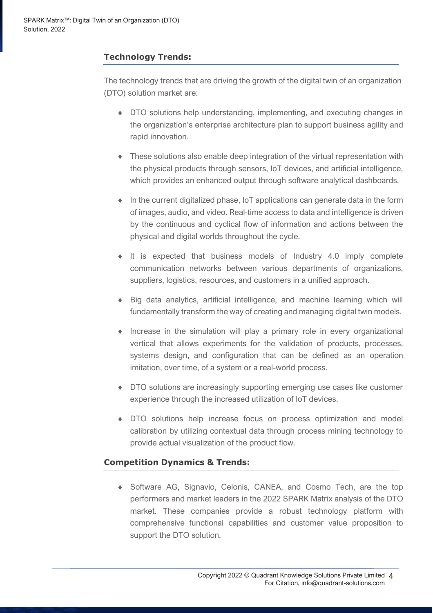### **Technology Trends:**

The technology trends that are driving the growth of the digital twin of an organization (DTO) solution market are:

- DTO solutions help understanding, implementing, and executing changes in the organization's enterprise architecture plan to support business agility and rapid innovation.
- These solutions also enable deep integration of the virtual representation with the physical products through sensors, IoT devices, and artificial intelligence, which provides an enhanced output through software analytical dashboards.
- $\bullet$  In the current digitalized phase, IoT applications can generate data in the form of images, audio, and video. Real-time access to data and intelligence is driven by the continuous and cyclical flow of information and actions between the physical and digital worlds throughout the cycle.
- $\bullet$  It is expected that business models of Industry 4.0 imply complete communication networks between various departments of organizations, suppliers, logistics, resources, and customers in a unified approach.
- Big data analytics, artificial intelligence, and machine learning which will fundamentally transform the way of creating and managing digital twin models.
- $\bullet$  Increase in the simulation will play a primary role in every organizational vertical that allows experiments for the validation of products, processes, systems design, and configuration that can be defined as an operation imitation, over time, of a system or a real-world process.
- DTO solutions are increasingly supporting emerging use cases like customer experience through the increased utilization of IoT devices.
- DTO solutions help increase focus on process optimization and model calibration by utilizing contextual data through process mining technology to provide actual visualization of the product flow.

### **Competition Dynamics & Trends:**

 Software AG, Signavio, Celonis, CANEA, and Cosmo Tech, are the top performers and market leaders in the 2022 SPARK Matrix analysis of the DTO market. These companies provide a robust technology platform with comprehensive functional capabilities and customer value proposition to support the DTO solution.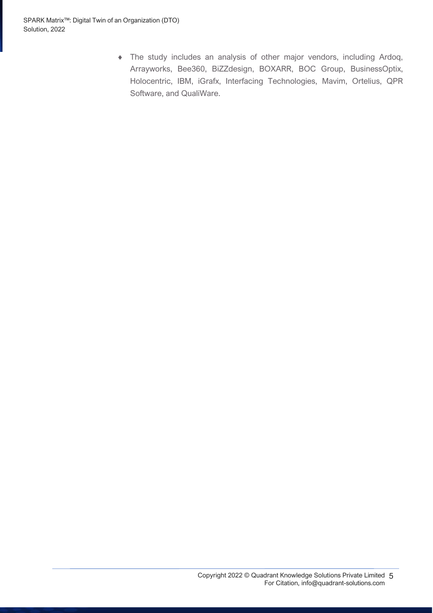The study includes an analysis of other major vendors, including Ardoq, Arrayworks, Bee360, BiZZdesign, BOXARR, BOC Group, BusinessOptix, Holocentric, IBM, iGrafx, Interfacing Technologies, Mavim, Ortelius, QPR Software, and QualiWare.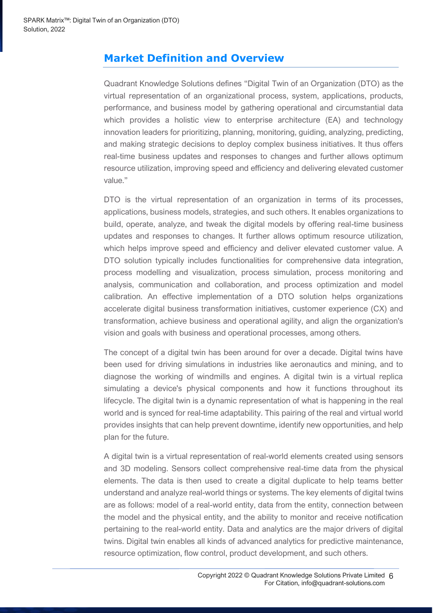# <span id="page-5-0"></span>**Market Definition and Overview**

Quadrant Knowledge Solutions defines "Digital Twin of an Organization (DTO) as the virtual representation of an organizational process, system, applications, products, performance, and business model by gathering operational and circumstantial data which provides a holistic view to enterprise architecture (EA) and technology innovation leaders for prioritizing, planning, monitoring, guiding, analyzing, predicting, and making strategic decisions to deploy complex business initiatives. It thus offers real-time business updates and responses to changes and further allows optimum resource utilization, improving speed and efficiency and delivering elevated customer value."

DTO is the virtual representation of an organization in terms of its processes, applications, business models, strategies, and such others. It enables organizations to build, operate, analyze, and tweak the digital models by offering real-time business updates and responses to changes. It further allows optimum resource utilization, which helps improve speed and efficiency and deliver elevated customer value. A DTO solution typically includes functionalities for comprehensive data integration, process modelling and visualization, process simulation, process monitoring and analysis, communication and collaboration, and process optimization and model calibration. An effective implementation of a DTO solution helps organizations accelerate digital business transformation initiatives, customer experience (CX) and transformation, achieve business and operational agility, and align the organization's vision and goals with business and operational processes, among others.

The concept of a digital twin has been around for over a decade. Digital twins have been used for driving simulations in industries like aeronautics and mining, and to diagnose the working of windmills and engines. A digital twin is a virtual replica simulating a device's physical components and how it functions throughout its lifecycle. The digital twin is a dynamic representation of what is happening in the real world and is synced for real-time adaptability. This pairing of the real and virtual world provides insights that can help prevent downtime, identify new opportunities, and help plan for the future.

A digital twin is a virtual representation of real-world elements created using sensors and 3D modeling. Sensors collect comprehensive real-time data from the physical elements. The data is then used to create a digital duplicate to help teams better understand and analyze real-world things or systems. The key elements of digital twins are as follows: model of a real-world entity, data from the entity, connection between the model and the physical entity, and the ability to monitor and receive notification pertaining to the real-world entity. Data and analytics are the major drivers of digital twins. Digital twin enables all kinds of advanced analytics for predictive maintenance, resource optimization, flow control, product development, and such others.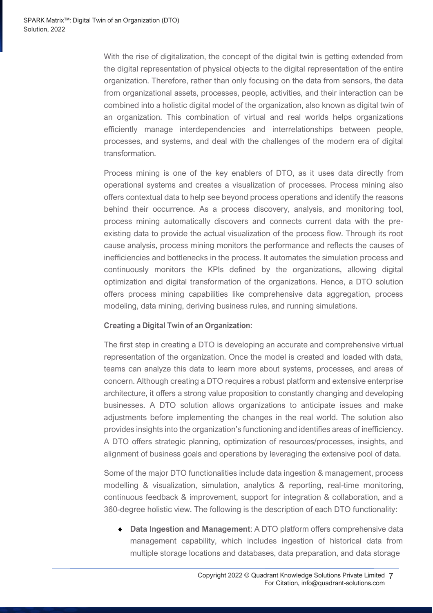With the rise of digitalization, the concept of the digital twin is getting extended from the digital representation of physical objects to the digital representation of the entire organization. Therefore, rather than only focusing on the data from sensors, the data from organizational assets, processes, people, activities, and their interaction can be combined into a holistic digital model of the organization, also known as digital twin of an organization. This combination of virtual and real worlds helps organizations efficiently manage interdependencies and interrelationships between people, processes, and systems, and deal with the challenges of the modern era of digital transformation.

Process mining is one of the key enablers of DTO, as it uses data directly from operational systems and creates a visualization of processes. Process mining also offers contextual data to help see beyond process operations and identify the reasons behind their occurrence. As a process discovery, analysis, and monitoring tool, process mining automatically discovers and connects current data with the preexisting data to provide the actual visualization of the process flow. Through its root cause analysis, process mining monitors the performance and reflects the causes of inefficiencies and bottlenecks in the process. It automates the simulation process and continuously monitors the KPIs defined by the organizations, allowing digital optimization and digital transformation of the organizations. Hence, a DTO solution offers process mining capabilities like comprehensive data aggregation, process modeling, data mining, deriving business rules, and running simulations.

#### **Creating a Digital Twin of an Organization:**

The first step in creating a DTO is developing an accurate and comprehensive virtual representation of the organization. Once the model is created and loaded with data, teams can analyze this data to learn more about systems, processes, and areas of concern. Although creating a DTO requires a robust platform and extensive enterprise architecture, it offers a strong value proposition to constantly changing and developing businesses. A DTO solution allows organizations to anticipate issues and make adjustments before implementing the changes in the real world. The solution also provides insights into the organization's functioning and identifies areas of inefficiency. A DTO offers strategic planning, optimization of resources/processes, insights, and alignment of business goals and operations by leveraging the extensive pool of data.

Some of the major DTO functionalities include data ingestion & management, process modelling & visualization, simulation, analytics & reporting, real-time monitoring, continuous feedback & improvement, support for integration & collaboration, and a 360-degree holistic view. The following is the description of each DTO functionality:

 **Data Ingestion and Management**: A DTO platform offers comprehensive data management capability, which includes ingestion of historical data from multiple storage locations and databases, data preparation, and data storage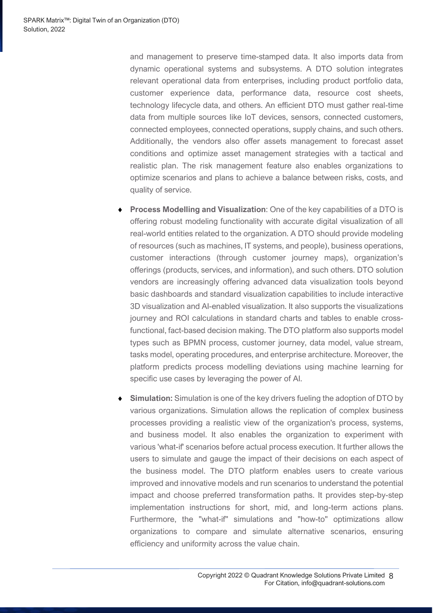and management to preserve time-stamped data. It also imports data from dynamic operational systems and subsystems. A DTO solution integrates relevant operational data from enterprises, including product portfolio data, customer experience data, performance data, resource cost sheets, technology lifecycle data, and others. An efficient DTO must gather real-time data from multiple sources like IoT devices, sensors, connected customers, connected employees, connected operations, supply chains, and such others. Additionally, the vendors also offer assets management to forecast asset conditions and optimize asset management strategies with a tactical and realistic plan. The risk management feature also enables organizations to optimize scenarios and plans to achieve a balance between risks, costs, and quality of service.

- **Process Modelling and Visualization**: One of the key capabilities of a DTO is offering robust modeling functionality with accurate digital visualization of all real-world entities related to the organization. A DTO should provide modeling of resources (such as machines, IT systems, and people), business operations, customer interactions (through customer journey maps), organization's offerings (products, services, and information), and such others. DTO solution vendors are increasingly offering advanced data visualization tools beyond basic dashboards and standard visualization capabilities to include interactive 3D visualization and AI-enabled visualization. It also supports the visualizations journey and ROI calculations in standard charts and tables to enable crossfunctional, fact-based decision making. The DTO platform also supports model types such as BPMN process, customer journey, data model, value stream, tasks model, operating procedures, and enterprise architecture. Moreover, the platform predicts process modelling deviations using machine learning for specific use cases by leveraging the power of AI.
- **Simulation:** Simulation is one of the key drivers fueling the adoption of DTO by various organizations. Simulation allows the replication of complex business processes providing a realistic view of the organization's process, systems, and business model. It also enables the organization to experiment with various 'what-if' scenarios before actual process execution. It further allows the users to simulate and gauge the impact of their decisions on each aspect of the business model. The DTO platform enables users to create various improved and innovative models and run scenarios to understand the potential impact and choose preferred transformation paths. It provides step-by-step implementation instructions for short, mid, and long-term actions plans. Furthermore, the "what-if" simulations and "how-to" optimizations allow organizations to compare and simulate alternative scenarios, ensuring efficiency and uniformity across the value chain.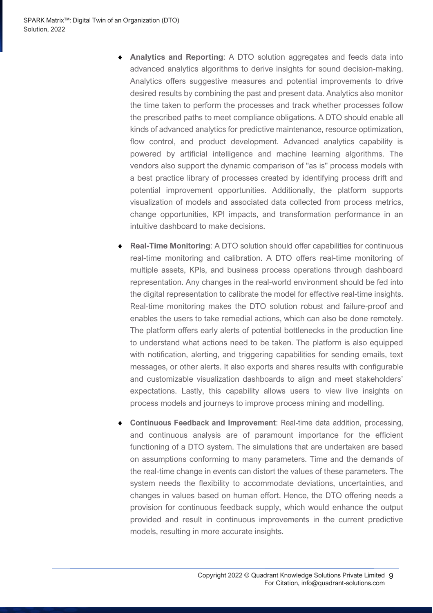- **Analytics and Reporting**: A DTO solution aggregates and feeds data into advanced analytics algorithms to derive insights for sound decision-making. Analytics offers suggestive measures and potential improvements to drive desired results by combining the past and present data. Analytics also monitor the time taken to perform the processes and track whether processes follow the prescribed paths to meet compliance obligations. A DTO should enable all kinds of advanced analytics for predictive maintenance, resource optimization, flow control, and product development. Advanced analytics capability is powered by artificial intelligence and machine learning algorithms. The vendors also support the dynamic comparison of "as is" process models with a best practice library of processes created by identifying process drift and potential improvement opportunities. Additionally, the platform supports visualization of models and associated data collected from process metrics, change opportunities, KPI impacts, and transformation performance in an intuitive dashboard to make decisions.
- **Real-Time Monitoring**: A DTO solution should offer capabilities for continuous real-time monitoring and calibration. A DTO offers real-time monitoring of multiple assets, KPIs, and business process operations through dashboard representation. Any changes in the real-world environment should be fed into the digital representation to calibrate the model for effective real-time insights. Real-time monitoring makes the DTO solution robust and failure-proof and enables the users to take remedial actions, which can also be done remotely. The platform offers early alerts of potential bottlenecks in the production line to understand what actions need to be taken. The platform is also equipped with notification, alerting, and triggering capabilities for sending emails, text messages, or other alerts. It also exports and shares results with configurable and customizable visualization dashboards to align and meet stakeholders' expectations. Lastly, this capability allows users to view live insights on process models and journeys to improve process mining and modelling.
- **Continuous Feedback and Improvement**: Real-time data addition, processing, and continuous analysis are of paramount importance for the efficient functioning of a DTO system. The simulations that are undertaken are based on assumptions conforming to many parameters. Time and the demands of the real-time change in events can distort the values of these parameters. The system needs the flexibility to accommodate deviations, uncertainties, and changes in values based on human effort. Hence, the DTO offering needs a provision for continuous feedback supply, which would enhance the output provided and result in continuous improvements in the current predictive models, resulting in more accurate insights.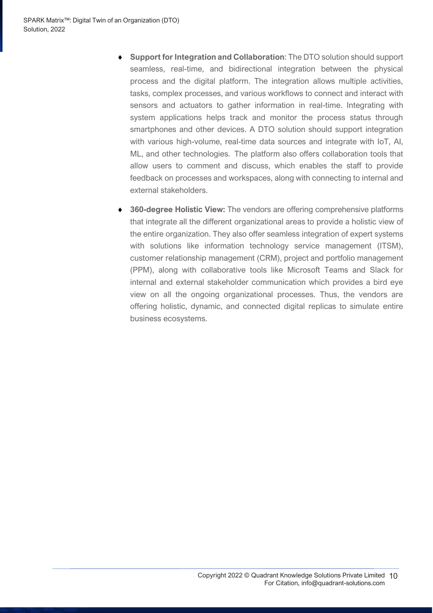- **Support for Integration and Collaboration**: The DTO solution should support seamless, real-time, and bidirectional integration between the physical process and the digital platform. The integration allows multiple activities, tasks, complex processes, and various workflows to connect and interact with sensors and actuators to gather information in real-time. Integrating with system applications helps track and monitor the process status through smartphones and other devices. A DTO solution should support integration with various high-volume, real-time data sources and integrate with IoT, AI, ML, and other technologies. The platform also offers collaboration tools that allow users to comment and discuss, which enables the staff to provide feedback on processes and workspaces, along with connecting to internal and external stakeholders.
- **360-degree Holistic View:** The vendors are offering comprehensive platforms that integrate all the different organizational areas to provide a holistic view of the entire organization. They also offer seamless integration of expert systems with solutions like information technology service management (ITSM), customer relationship management (CRM), project and portfolio management (PPM), along with collaborative tools like Microsoft Teams and Slack for internal and external stakeholder communication which provides a bird eye view on all the ongoing organizational processes. Thus, the vendors are offering holistic, dynamic, and connected digital replicas to simulate entire business ecosystems.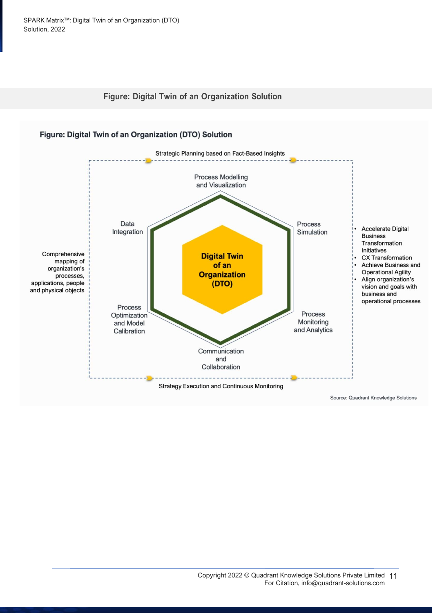



Source: Quadrant Knowledge Solutions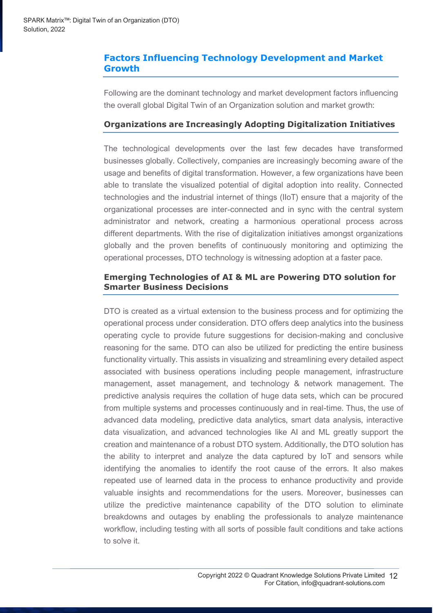### <span id="page-11-0"></span>**Factors Influencing Technology Development and Market Growth**

Following are the dominant technology and market development factors influencing the overall global Digital Twin of an Organization solution and market growth:

### **Organizations are Increasingly Adopting Digitalization Initiatives**

The technological developments over the last few decades have transformed businesses globally. Collectively, companies are increasingly becoming aware of the usage and benefits of digital transformation. However, a few organizations have been able to translate the visualized potential of digital adoption into reality. Connected technologies and the industrial internet of things (IIoT) ensure that a majority of the organizational processes are inter-connected and in sync with the central system administrator and network, creating a harmonious operational process across different departments. With the rise of digitalization initiatives amongst organizations globally and the proven benefits of continuously monitoring and optimizing the operational processes, DTO technology is witnessing adoption at a faster pace.

### **Emerging Technologies of AI & ML are Powering DTO solution for Smarter Business Decisions**

DTO is created as a virtual extension to the business process and for optimizing the operational process under consideration. DTO offers deep analytics into the business operating cycle to provide future suggestions for decision-making and conclusive reasoning for the same. DTO can also be utilized for predicting the entire business functionality virtually. This assists in visualizing and streamlining every detailed aspect associated with business operations including people management, infrastructure management, asset management, and technology & network management. The predictive analysis requires the collation of huge data sets, which can be procured from multiple systems and processes continuously and in real-time. Thus, the use of advanced data modeling, predictive data analytics, smart data analysis, interactive data visualization, and advanced technologies like AI and ML greatly support the creation and maintenance of a robust DTO system. Additionally, the DTO solution has the ability to interpret and analyze the data captured by IoT and sensors while identifying the anomalies to identify the root cause of the errors. It also makes repeated use of learned data in the process to enhance productivity and provide valuable insights and recommendations for the users. Moreover, businesses can utilize the predictive maintenance capability of the DTO solution to eliminate breakdowns and outages by enabling the professionals to analyze maintenance workflow, including testing with all sorts of possible fault conditions and take actions to solve it.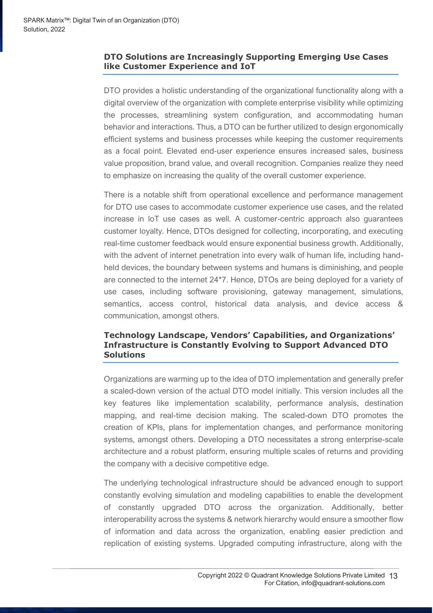### **DTO Solutions are Increasingly Supporting Emerging Use Cases like Customer Experience and IoT**

DTO provides a holistic understanding of the organizational functionality along with a digital overview of the organization with complete enterprise visibility while optimizing the processes, streamlining system configuration, and accommodating human behavior and interactions. Thus, a DTO can be further utilized to design ergonomically efficient systems and business processes while keeping the customer requirements as a focal point. Elevated end-user experience ensures increased sales, business value proposition, brand value, and overall recognition. Companies realize they need to emphasize on increasing the quality of the overall customer experience.

There is a notable shift from operational excellence and performance management for DTO use cases to accommodate customer experience use cases, and the related increase in IoT use cases as well. A customer-centric approach also guarantees customer loyalty. Hence, DTOs designed for collecting, incorporating, and executing real-time customer feedback would ensure exponential business growth. Additionally, with the advent of internet penetration into every walk of human life, including handheld devices, the boundary between systems and humans is diminishing, and people are connected to the internet 24\*7. Hence, DTOs are being deployed for a variety of use cases, including software provisioning, gateway management, simulations, semantics, access control, historical data analysis, and device access & communication, amongst others.

#### **Technology Landscape, Vendors' Capabilities, and Organizations' Infrastructure is Constantly Evolving to Support Advanced DTO Solutions**

Organizations are warming up to the idea of DTO implementation and generally prefer a scaled-down version of the actual DTO model initially. This version includes all the key features like implementation scalability, performance analysis, destination mapping, and real-time decision making. The scaled-down DTO promotes the creation of KPIs, plans for implementation changes, and performance monitoring systems, amongst others. Developing a DTO necessitates a strong enterprise-scale architecture and a robust platform, ensuring multiple scales of returns and providing the company with a decisive competitive edge.

The underlying technological infrastructure should be advanced enough to support constantly evolving simulation and modeling capabilities to enable the development of constantly upgraded DTO across the organization. Additionally, better interoperability across the systems & network hierarchy would ensure a smoother flow of information and data across the organization, enabling easier prediction and replication of existing systems. Upgraded computing infrastructure, along with the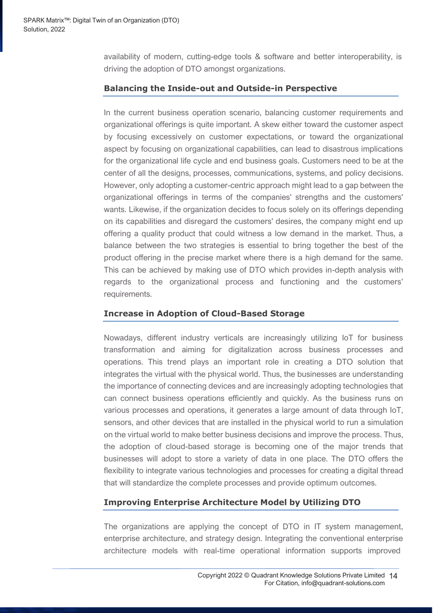availability of modern, cutting-edge tools & software and better interoperability, is driving the adoption of DTO amongst organizations.

### **Balancing the Inside-out and Outside-in Perspective**

In the current business operation scenario, balancing customer requirements and organizational offerings is quite important. A skew either toward the customer aspect by focusing excessively on customer expectations, or toward the organizational aspect by focusing on organizational capabilities, can lead to disastrous implications for the organizational life cycle and end business goals. Customers need to be at the center of all the designs, processes, communications, systems, and policy decisions. However, only adopting a customer-centric approach might lead to a gap between the organizational offerings in terms of the companies' strengths and the customers' wants. Likewise, if the organization decides to focus solely on its offerings depending on its capabilities and disregard the customers' desires, the company might end up offering a quality product that could witness a low demand in the market. Thus, a balance between the two strategies is essential to bring together the best of the product offering in the precise market where there is a high demand for the same. This can be achieved by making use of DTO which provides in-depth analysis with regards to the organizational process and functioning and the customers' requirements.

### **Increase in Adoption of Cloud-Based Storage**

Nowadays, different industry verticals are increasingly utilizing IoT for business transformation and aiming for digitalization across business processes and operations. This trend plays an important role in creating a DTO solution that integrates the virtual with the physical world. Thus, the businesses are understanding the importance of connecting devices and are increasingly adopting technologies that can connect business operations efficiently and quickly. As the business runs on various processes and operations, it generates a large amount of data through IoT, sensors, and other devices that are installed in the physical world to run a simulation on the virtual world to make better business decisions and improve the process. Thus, the adoption of cloud-based storage is becoming one of the major trends that businesses will adopt to store a variety of data in one place. The DTO offers the flexibility to integrate various technologies and processes for creating a digital thread that will standardize the complete processes and provide optimum outcomes.

### **Improving Enterprise Architecture Model by Utilizing DTO**

The organizations are applying the concept of DTO in IT system management, enterprise architecture, and strategy design. Integrating the conventional enterprise architecture models with real-time operational information supports improved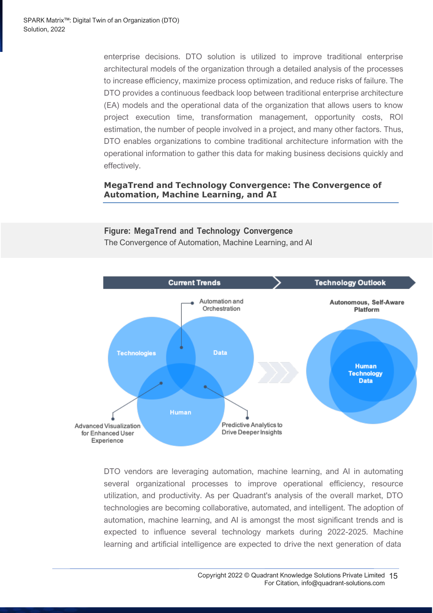enterprise decisions. DTO solution is utilized to improve traditional enterprise architectural models of the organization through a detailed analysis of the processes to increase efficiency, maximize process optimization, and reduce risks of failure. The DTO provides a continuous feedback loop between traditional enterprise architecture (EA) models and the operational data of the organization that allows users to know project execution time, transformation management, opportunity costs, ROI estimation, the number of people involved in a project, and many other factors. Thus, DTO enables organizations to combine traditional architecture information with the operational information to gather this data for making business decisions quickly and effectively.

### **MegaTrend and Technology Convergence: The Convergence of Automation, Machine Learning, and AI**

### **Figure: MegaTrend and Technology Convergence** The Convergence of Automation, Machine Learning, and AI



DTO vendors are leveraging automation, machine learning, and AI in automating several organizational processes to improve operational efficiency, resource utilization, and productivity. As per Quadrant's analysis of the overall market, DTO technologies are becoming collaborative, automated, and intelligent. The adoption of automation, machine learning, and AI is amongst the most significant trends and is expected to influence several technology markets during 2022-2025. Machine learning and artificial intelligence are expected to drive the next generation of data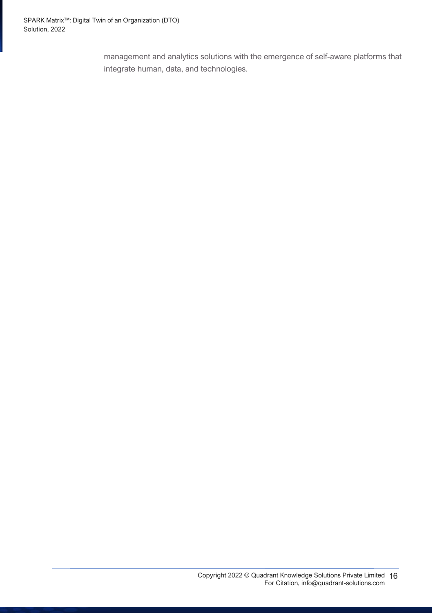management and analytics solutions with the emergence of self-aware platforms that integrate human, data, and technologies.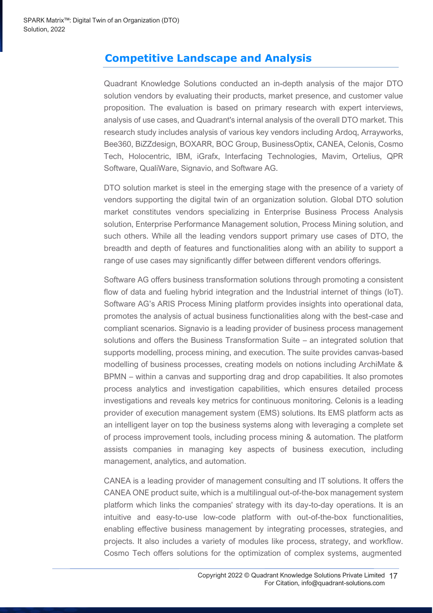# <span id="page-16-0"></span>**Competitive Landscape and Analysis**

Quadrant Knowledge Solutions conducted an in-depth analysis of the major DTO solution vendors by evaluating their products, market presence, and customer value proposition. The evaluation is based on primary research with expert interviews, analysis of use cases, and Quadrant's internal analysis of the overall DTO market. This research study includes analysis of various key vendors including Ardoq, Arrayworks, Bee360, BiZZdesign, BOXARR, BOC Group, BusinessOptix, CANEA, Celonis, Cosmo Tech, Holocentric, IBM, iGrafx, Interfacing Technologies, Mavim, Ortelius, QPR Software, QualiWare, Signavio, and Software AG.

DTO solution market is steel in the emerging stage with the presence of a variety of vendors supporting the digital twin of an organization solution. Global DTO solution market constitutes vendors specializing in Enterprise Business Process Analysis solution, Enterprise Performance Management solution, Process Mining solution, and such others. While all the leading vendors support primary use cases of DTO, the breadth and depth of features and functionalities along with an ability to support a range of use cases may significantly differ between different vendors offerings.

Software AG offers business transformation solutions through promoting a consistent flow of data and fueling hybrid integration and the Industrial internet of things (IoT). Software AG's ARIS Process Mining platform provides insights into operational data, promotes the analysis of actual business functionalities along with the best-case and compliant scenarios. Signavio is a leading provider of business process management solutions and offers the Business Transformation Suite – an integrated solution that supports modelling, process mining, and execution. The suite provides canvas-based modelling of business processes, creating models on notions including ArchiMate & BPMN – within a canvas and supporting drag and drop capabilities. It also promotes process analytics and investigation capabilities, which ensures detailed process investigations and reveals key metrics for continuous monitoring. Celonis is a leading provider of execution management system (EMS) solutions. Its EMS platform acts as an intelligent layer on top the business systems along with leveraging a complete set of process improvement tools, including process mining & automation. The platform assists companies in managing key aspects of business execution, including management, analytics, and automation.

CANEA is a leading provider of management consulting and IT solutions. It offers the CANEA ONE product suite, which is a multilingual out-of-the-box management system platform which links the companies' strategy with its day-to-day operations. It is an intuitive and easy-to-use low-code platform with out-of-the-box functionalities, enabling effective business management by integrating processes, strategies, and projects. It also includes a variety of modules like process, strategy, and workflow. Cosmo Tech offers solutions for the optimization of complex systems, augmented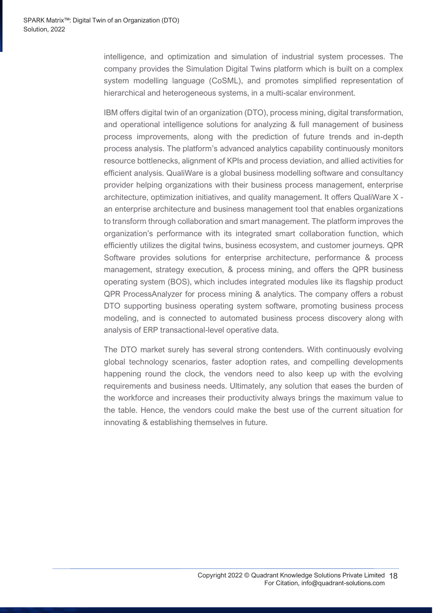intelligence, and optimization and simulation of industrial system processes. The company provides the Simulation Digital Twins platform which is built on a complex system modelling language (CoSML), and promotes simplified representation of hierarchical and heterogeneous systems, in a multi-scalar environment.

IBM offers digital twin of an organization (DTO), process mining, digital transformation, and operational intelligence solutions for analyzing & full management of business process improvements, along with the prediction of future trends and in-depth process analysis. The platform's advanced analytics capability continuously monitors resource bottlenecks, alignment of KPIs and process deviation, and allied activities for efficient analysis. QualiWare is a global business modelling software and consultancy provider helping organizations with their business process management, enterprise architecture, optimization initiatives, and quality management. It offers QualiWare X an enterprise architecture and business management tool that enables organizations to transform through collaboration and smart management. The platform improves the organization's performance with its integrated smart collaboration function, which efficiently utilizes the digital twins, business ecosystem, and customer journeys. QPR Software provides solutions for enterprise architecture, performance & process management, strategy execution, & process mining, and offers the QPR business operating system (BOS), which includes integrated modules like its flagship product QPR ProcessAnalyzer for process mining & analytics. The company offers a robust DTO supporting business operating system software, promoting business process modeling, and is connected to automated business process discovery along with analysis of ERP transactional-level operative data.

The DTO market surely has several strong contenders. With continuously evolving global technology scenarios, faster adoption rates, and compelling developments happening round the clock, the vendors need to also keep up with the evolving requirements and business needs. Ultimately, any solution that eases the burden of the workforce and increases their productivity always brings the maximum value to the table. Hence, the vendors could make the best use of the current situation for innovating & establishing themselves in future.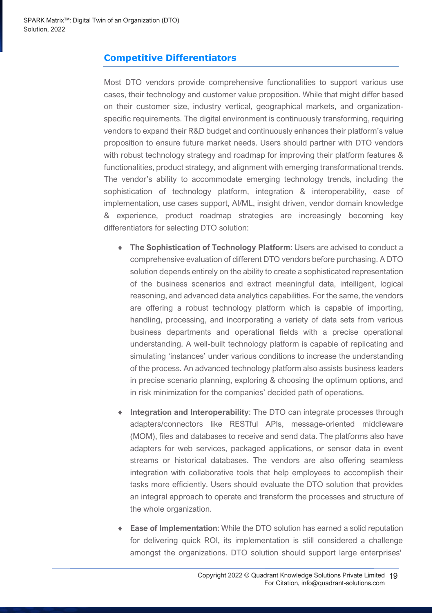### <span id="page-18-0"></span>**Competitive Differentiators**

Most DTO vendors provide comprehensive functionalities to support various use cases, their technology and customer value proposition. While that might differ based on their customer size, industry vertical, geographical markets, and organizationspecific requirements. The digital environment is continuously transforming, requiring vendors to expand their R&D budget and continuously enhances their platform's value proposition to ensure future market needs. Users should partner with DTO vendors with robust technology strategy and roadmap for improving their platform features & functionalities, product strategy, and alignment with emerging transformational trends. The vendor's ability to accommodate emerging technology trends, including the sophistication of technology platform, integration & interoperability, ease of implementation, use cases support, AI/ML, insight driven, vendor domain knowledge & experience, product roadmap strategies are increasingly becoming key differentiators for selecting DTO solution:

- **The Sophistication of Technology Platform**: Users are advised to conduct a comprehensive evaluation of different DTO vendors before purchasing. A DTO solution depends entirely on the ability to create a sophisticated representation of the business scenarios and extract meaningful data, intelligent, logical reasoning, and advanced data analytics capabilities. For the same, the vendors are offering a robust technology platform which is capable of importing, handling, processing, and incorporating a variety of data sets from various business departments and operational fields with a precise operational understanding. A well-built technology platform is capable of replicating and simulating 'instances' under various conditions to increase the understanding of the process. An advanced technology platform also assists business leaders in precise scenario planning, exploring & choosing the optimum options, and in risk minimization for the companies' decided path of operations.
- **Integration and Interoperability**: The DTO can integrate processes through adapters/connectors like RESTful APIs, message-oriented middleware (MOM), files and databases to receive and send data. The platforms also have adapters for web services, packaged applications, or sensor data in event streams or historical databases. The vendors are also offering seamless integration with collaborative tools that help employees to accomplish their tasks more efficiently. Users should evaluate the DTO solution that provides an integral approach to operate and transform the processes and structure of the whole organization.
- **Ease of Implementation**: While the DTO solution has earned a solid reputation for delivering quick ROI, its implementation is still considered a challenge amongst the organizations. DTO solution should support large enterprises'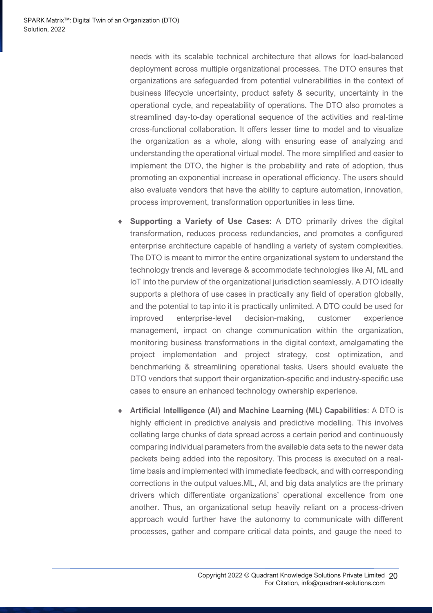needs with its scalable technical architecture that allows for load-balanced deployment across multiple organizational processes. The DTO ensures that organizations are safeguarded from potential vulnerabilities in the context of business lifecycle uncertainty, product safety & security, uncertainty in the operational cycle, and repeatability of operations. The DTO also promotes a streamlined day-to-day operational sequence of the activities and real-time cross-functional collaboration. It offers lesser time to model and to visualize the organization as a whole, along with ensuring ease of analyzing and understanding the operational virtual model. The more simplified and easier to implement the DTO, the higher is the probability and rate of adoption, thus promoting an exponential increase in operational efficiency. The users should also evaluate vendors that have the ability to capture automation, innovation, process improvement, transformation opportunities in less time.

- **Supporting a Variety of Use Cases**: A DTO primarily drives the digital transformation, reduces process redundancies, and promotes a configured enterprise architecture capable of handling a variety of system complexities. The DTO is meant to mirror the entire organizational system to understand the technology trends and leverage & accommodate technologies like AI, ML and IoT into the purview of the organizational jurisdiction seamlessly. A DTO ideally supports a plethora of use cases in practically any field of operation globally, and the potential to tap into it is practically unlimited. A DTO could be used for improved enterprise-level decision-making, customer experience management, impact on change communication within the organization, monitoring business transformations in the digital context, amalgamating the project implementation and project strategy, cost optimization, and benchmarking & streamlining operational tasks. Users should evaluate the DTO vendors that support their organization-specific and industry-specific use cases to ensure an enhanced technology ownership experience.
- **Artificial Intelligence (AI) and Machine Learning (ML) Capabilities**: A DTO is highly efficient in predictive analysis and predictive modelling. This involves collating large chunks of data spread across a certain period and continuously comparing individual parameters from the available data sets to the newer data packets being added into the repository. This process is executed on a realtime basis and implemented with immediate feedback, and with corresponding corrections in the output values.ML, AI, and big data analytics are the primary drivers which differentiate organizations' operational excellence from one another. Thus, an organizational setup heavily reliant on a process-driven approach would further have the autonomy to communicate with different processes, gather and compare critical data points, and gauge the need to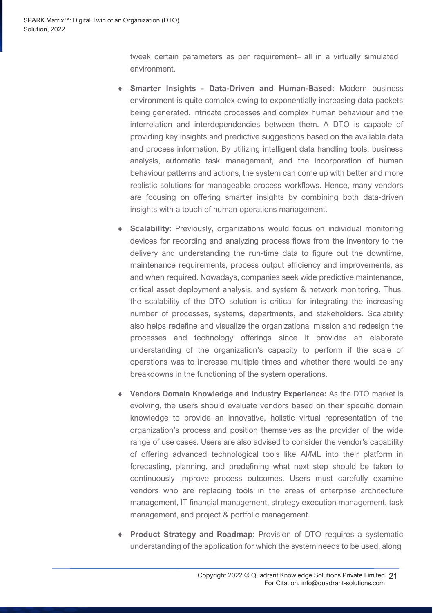tweak certain parameters as per requirement– all in a virtually simulated environment.

- **Smarter Insights - Data-Driven and Human-Based:** Modern business environment is quite complex owing to exponentially increasing data packets being generated, intricate processes and complex human behaviour and the interrelation and interdependencies between them. A DTO is capable of providing key insights and predictive suggestions based on the available data and process information. By utilizing intelligent data handling tools, business analysis, automatic task management, and the incorporation of human behaviour patterns and actions, the system can come up with better and more realistic solutions for manageable process workflows. Hence, many vendors are focusing on offering smarter insights by combining both data-driven insights with a touch of human operations management.
- **Scalability:** Previously, organizations would focus on individual monitoring devices for recording and analyzing process flows from the inventory to the delivery and understanding the run-time data to figure out the downtime, maintenance requirements, process output efficiency and improvements, as and when required. Nowadays, companies seek wide predictive maintenance, critical asset deployment analysis, and system & network monitoring. Thus, the scalability of the DTO solution is critical for integrating the increasing number of processes, systems, departments, and stakeholders. Scalability also helps redefine and visualize the organizational mission and redesign the processes and technology offerings since it provides an elaborate understanding of the organization's capacity to perform if the scale of operations was to increase multiple times and whether there would be any breakdowns in the functioning of the system operations.
- **Vendors Domain Knowledge and Industry Experience:** As the DTO market is evolving, the users should evaluate vendors based on their specific domain knowledge to provide an innovative, holistic virtual representation of the organization's process and position themselves as the provider of the wide range of use cases. Users are also advised to consider the vendor's capability of offering advanced technological tools like AI/ML into their platform in forecasting, planning, and predefining what next step should be taken to continuously improve process outcomes. Users must carefully examine vendors who are replacing tools in the areas of enterprise architecture management, IT financial management, strategy execution management, task management, and project & portfolio management.
- **Product Strategy and Roadmap**: Provision of DTO requires a systematic understanding of the application for which the system needs to be used, along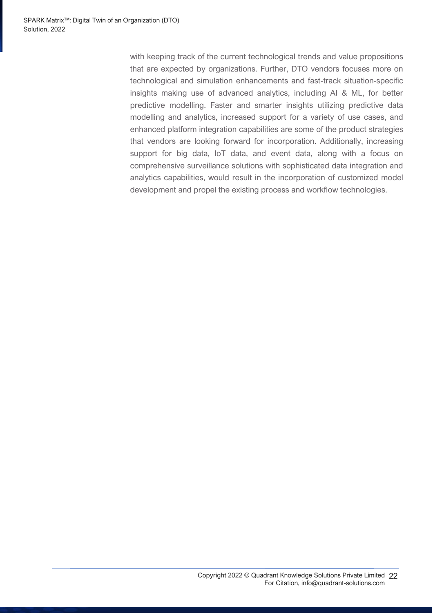with keeping track of the current technological trends and value propositions that are expected by organizations. Further, DTO vendors focuses more on technological and simulation enhancements and fast-track situation-specific insights making use of advanced analytics, including AI & ML, for better predictive modelling. Faster and smarter insights utilizing predictive data modelling and analytics, increased support for a variety of use cases, and enhanced platform integration capabilities are some of the product strategies that vendors are looking forward for incorporation. Additionally, increasing support for big data, IoT data, and event data, along with a focus on comprehensive surveillance solutions with sophisticated data integration and analytics capabilities, would result in the incorporation of customized model development and propel the existing process and workflow technologies.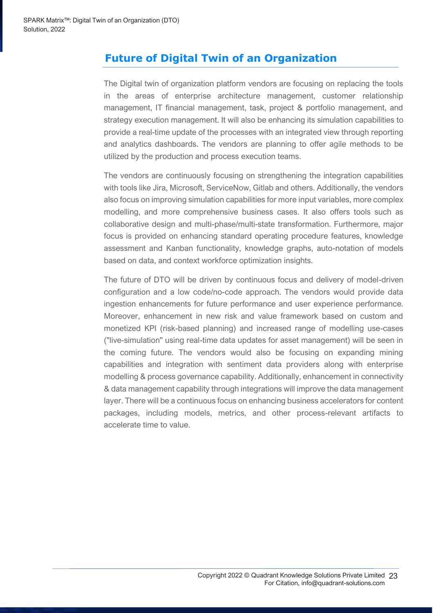# <span id="page-22-0"></span>**Future of Digital Twin of an Organization**

The Digital twin of organization platform vendors are focusing on replacing the tools in the areas of enterprise architecture management, customer relationship management, IT financial management, task, project & portfolio management, and strategy execution management. It will also be enhancing its simulation capabilities to provide a real-time update of the processes with an integrated view through reporting and analytics dashboards. The vendors are planning to offer agile methods to be utilized by the production and process execution teams.

The vendors are continuously focusing on strengthening the integration capabilities with tools like Jira, Microsoft, ServiceNow, Gitlab and others. Additionally, the vendors also focus on improving simulation capabilities for more input variables, more complex modelling, and more comprehensive business cases. It also offers tools such as collaborative design and multi-phase/multi-state transformation. Furthermore, major focus is provided on enhancing standard operating procedure features, knowledge assessment and Kanban functionality, knowledge graphs, auto-notation of models based on data, and context workforce optimization insights.

The future of DTO will be driven by continuous focus and delivery of model-driven configuration and a low code/no-code approach. The vendors would provide data ingestion enhancements for future performance and user experience performance. Moreover, enhancement in new risk and value framework based on custom and monetized KPI (risk-based planning) and increased range of modelling use-cases ("live-simulation" using real-time data updates for asset management) will be seen in the coming future. The vendors would also be focusing on expanding mining capabilities and integration with sentiment data providers along with enterprise modelling & process governance capability. Additionally, enhancement in connectivity & data management capability through integrations will improve the data management layer. There will be a continuous focus on enhancing business accelerators for content packages, including models, metrics, and other process-relevant artifacts to accelerate time to value.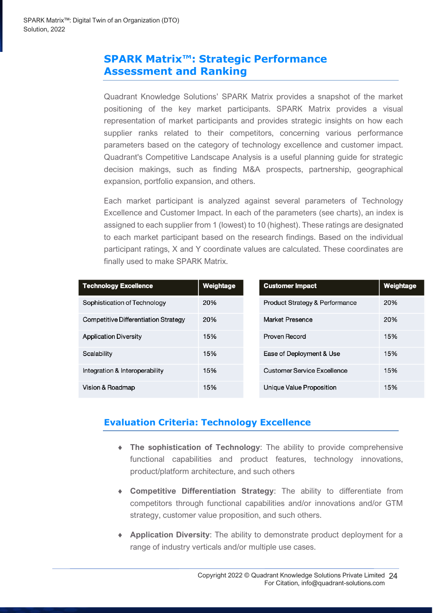### <span id="page-23-0"></span>**SPARK Matrix™: Strategic Performance Assessment and Ranking**

Quadrant Knowledge Solutions' SPARK Matrix provides a snapshot of the market positioning of the key market participants. SPARK Matrix provides a visual representation of market participants and provides strategic insights on how each supplier ranks related to their competitors, concerning various performance parameters based on the category of technology excellence and customer impact. Quadrant's Competitive Landscape Analysis is a useful planning guide for strategic decision makings, such as finding M&A prospects, partnership, geographical expansion, portfolio expansion, and others.

Each market participant is analyzed against several parameters of Technology Excellence and Customer Impact. In each of the parameters (see charts), an index is assigned to each supplier from 1 (lowest) to 10 (highest). These ratings are designated to each market participant based on the research findings. Based on the individual participant ratings, X and Y coordinate values are calculated. These coordinates are finally used to make SPARK Matrix.

| <b>Technology Excellence</b>         | Weightage | <b>Customer Impact</b>         | Weightage |
|--------------------------------------|-----------|--------------------------------|-----------|
| Sophistication of Technology         | 20%       | Product Strategy & Performance | 20%       |
| Competitive Differentiation Strategy | 20%       | Market Presence                | 20%       |
| <b>Application Diversity</b>         | 15%       | Proven Record                  | 15%       |
| Scalability                          | 15%       | Ease of Deployment & Use       | 15%       |
| Integration & Interoperability       | 15%       | Customer Service Excellence    | 15%       |
| Vision & Roadmap                     | 15%       | Unique Value Proposition       | 15%       |

### **Evaluation Criteria: Technology Excellence**

- **The sophistication of Technology**: The ability to provide comprehensive functional capabilities and product features, technology innovations, product/platform architecture, and such others
- **Competitive Differentiation Strategy**: The ability to differentiate from competitors through functional capabilities and/or innovations and/or GTM strategy, customer value proposition, and such others.
- **Application Diversity**: The ability to demonstrate product deployment for a range of industry verticals and/or multiple use cases.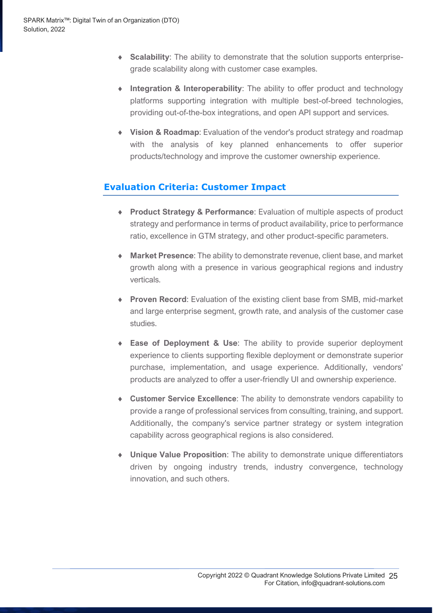- **Scalability**: The ability to demonstrate that the solution supports enterprisegrade scalability along with customer case examples.
- **Integration & Interoperability**: The ability to offer product and technology platforms supporting integration with multiple best-of-breed technologies, providing out-of-the-box integrations, and open API support and services.
- **Vision & Roadmap**: Evaluation of the vendor's product strategy and roadmap with the analysis of key planned enhancements to offer superior products/technology and improve the customer ownership experience.

### **Evaluation Criteria: Customer Impact**

- **Product Strategy & Performance**: Evaluation of multiple aspects of product strategy and performance in terms of product availability, price to performance ratio, excellence in GTM strategy, and other product-specific parameters.
- **Market Presence**: The ability to demonstrate revenue, client base, and market growth along with a presence in various geographical regions and industry verticals.
- **Proven Record**: Evaluation of the existing client base from SMB, mid-market and large enterprise segment, growth rate, and analysis of the customer case studies.
- **Ease of Deployment & Use**: The ability to provide superior deployment experience to clients supporting flexible deployment or demonstrate superior purchase, implementation, and usage experience. Additionally, vendors' products are analyzed to offer a user-friendly UI and ownership experience.
- **Customer Service Excellence**: The ability to demonstrate vendors capability to provide a range of professional services from consulting, training, and support. Additionally, the company's service partner strategy or system integration capability across geographical regions is also considered.
- **Unique Value Proposition**: The ability to demonstrate unique differentiators driven by ongoing industry trends, industry convergence, technology innovation, and such others.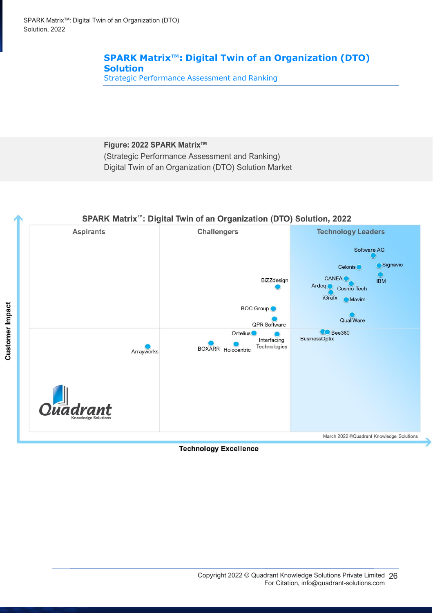### **SPARK Matrix™: Digital Twin of an Organization (DTO) Solution**

Strategic Performance Assessment and Ranking

### **Figure: 2022 SPARK Matrix™** (Strategic Performance Assessment and Ranking) Digital Twin of an Organization (DTO) Solution Market



**Technology Excellence**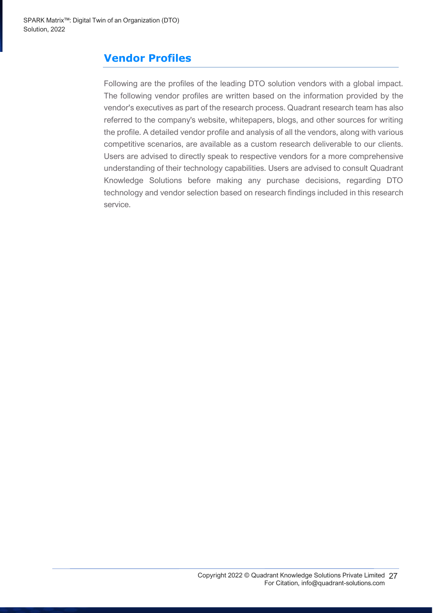# <span id="page-26-0"></span>**Vendor Profiles**

Following are the profiles of the leading DTO solution vendors with a global impact. The following vendor profiles are written based on the information provided by the vendor's executives as part of the research process. Quadrant research team has also referred to the company's website, whitepapers, blogs, and other sources for writing the profile. A detailed vendor profile and analysis of all the vendors, along with various competitive scenarios, are available as a custom research deliverable to our clients. Users are advised to directly speak to respective vendors for a more comprehensive understanding of their technology capabilities. Users are advised to consult Quadrant Knowledge Solutions before making any purchase decisions, regarding DTO technology and vendor selection based on research findings included in this research service.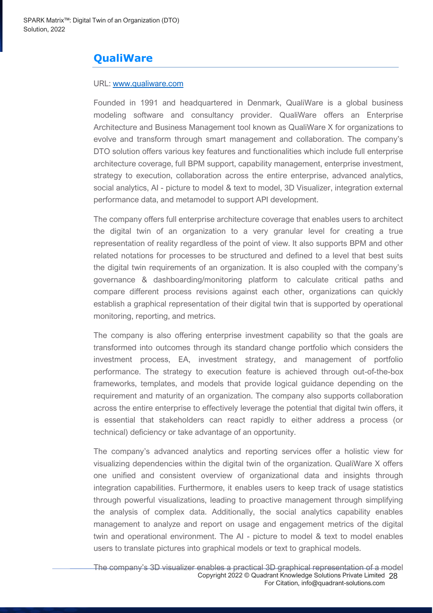### **QualiWare**

#### URL: [www.qualiware.com](https://www.qualiware.com/)

Founded in 1991 and headquartered in Denmark, QualiWare is a global business modeling software and consultancy provider. QualiWare offers an Enterprise Architecture and Business Management tool known as QualiWare X for organizations to evolve and transform through smart management and collaboration. The company's DTO solution offers various key features and functionalities which include full enterprise architecture coverage, full BPM support, capability management, enterprise investment, strategy to execution, collaboration across the entire enterprise, advanced analytics, social analytics, AI - picture to model & text to model, 3D Visualizer, integration external performance data, and metamodel to support API development.

The company offers full enterprise architecture coverage that enables users to architect the digital twin of an organization to a very granular level for creating a true representation of reality regardless of the point of view. It also supports BPM and other related notations for processes to be structured and defined to a level that best suits the digital twin requirements of an organization. It is also coupled with the company's governance & dashboarding/monitoring platform to calculate critical paths and compare different process revisions against each other, organizations can quickly establish a graphical representation of their digital twin that is supported by operational monitoring, reporting, and metrics.

The company is also offering enterprise investment capability so that the goals are transformed into outcomes through its standard change portfolio which considers the investment process, EA, investment strategy, and management of portfolio performance. The strategy to execution feature is achieved through out-of-the-box frameworks, templates, and models that provide logical guidance depending on the requirement and maturity of an organization. The company also supports collaboration across the entire enterprise to effectively leverage the potential that digital twin offers, it is essential that stakeholders can react rapidly to either address a process (or technical) deficiency or take advantage of an opportunity.

The company's advanced analytics and reporting services offer a holistic view for visualizing dependencies within the digital twin of the organization. QualiWare X offers one unified and consistent overview of organizational data and insights through integration capabilities. Furthermore, it enables users to keep track of usage statistics through powerful visualizations, leading to proactive management through simplifying the analysis of complex data. Additionally, the social analytics capability enables management to analyze and report on usage and engagement metrics of the digital twin and operational environment. The AI - picture to model & text to model enables users to translate pictures into graphical models or text to graphical models.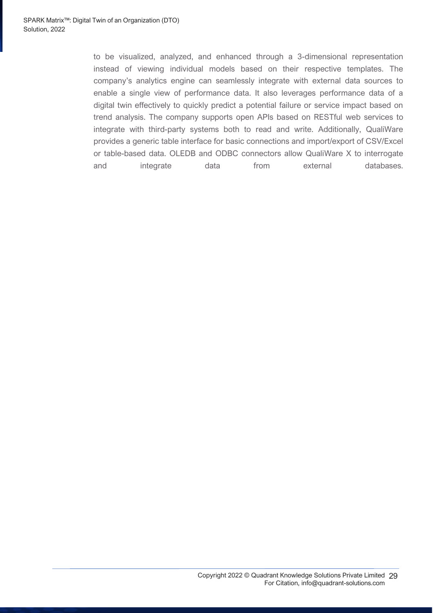to be visualized, analyzed, and enhanced through a 3-dimensional representation instead of viewing individual models based on their respective templates. The company's analytics engine can seamlessly integrate with external data sources to enable a single view of performance data. It also leverages performance data of a digital twin effectively to quickly predict a potential failure or service impact based on trend analysis. The company supports open APIs based on RESTful web services to integrate with third-party systems both to read and write. Additionally, QualiWare provides a generic table interface for basic connections and import/export of CSV/Excel or table-based data. OLEDB and ODBC connectors allow QualiWare X to interrogate and integrate data from external databases.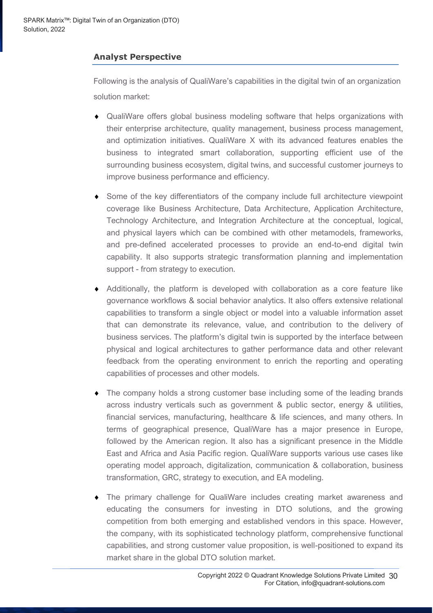### **Analyst Perspective**

Following is the analysis of QualiWare's capabilities in the digital twin of an organization solution market:

- QualiWare offers global business modeling software that helps organizations with their enterprise architecture, quality management, business process management, and optimization initiatives. QualiWare X with its advanced features enables the business to integrated smart collaboration, supporting efficient use of the surrounding business ecosystem, digital twins, and successful customer journeys to improve business performance and efficiency.
- Some of the key differentiators of the company include full architecture viewpoint coverage like Business Architecture, Data Architecture, Application Architecture, Technology Architecture, and Integration Architecture at the conceptual, logical, and physical layers which can be combined with other metamodels, frameworks, and pre-defined accelerated processes to provide an end-to-end digital twin capability. It also supports strategic transformation planning and implementation support - from strategy to execution.
- Additionally, the platform is developed with collaboration as a core feature like governance workflows & social behavior analytics. It also offers extensive relational capabilities to transform a single object or model into a valuable information asset that can demonstrate its relevance, value, and contribution to the delivery of business services. The platform's digital twin is supported by the interface between physical and logical architectures to gather performance data and other relevant feedback from the operating environment to enrich the reporting and operating capabilities of processes and other models.
- The company holds a strong customer base including some of the leading brands across industry verticals such as government & public sector, energy & utilities, financial services, manufacturing, healthcare & life sciences, and many others. In terms of geographical presence, QualiWare has a major presence in Europe, followed by the American region. It also has a significant presence in the Middle East and Africa and Asia Pacific region. QualiWare supports various use cases like operating model approach, digitalization, communication & collaboration, business transformation, GRC, strategy to execution, and EA modeling.
- The primary challenge for QualiWare includes creating market awareness and educating the consumers for investing in DTO solutions, and the growing competition from both emerging and established vendors in this space. However, the company, with its sophisticated technology platform, comprehensive functional capabilities, and strong customer value proposition, is well-positioned to expand its market share in the global DTO solution market.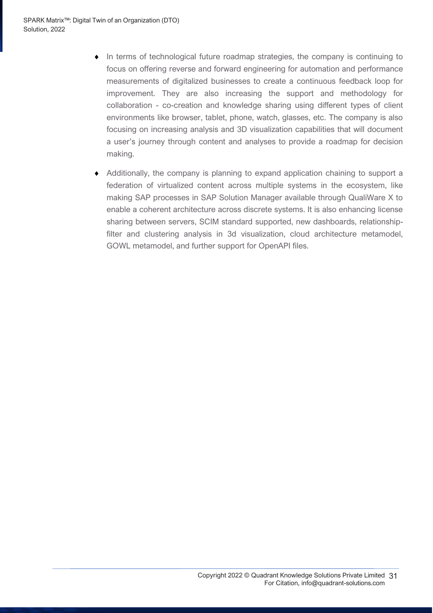- $\bullet$  In terms of technological future roadmap strategies, the company is continuing to focus on offering reverse and forward engineering for automation and performance measurements of digitalized businesses to create a continuous feedback loop for improvement. They are also increasing the support and methodology for collaboration - co-creation and knowledge sharing using different types of client environments like browser, tablet, phone, watch, glasses, etc. The company is also focusing on increasing analysis and 3D visualization capabilities that will document a user's journey through content and analyses to provide a roadmap for decision making.
- Additionally, the company is planning to expand application chaining to support a federation of virtualized content across multiple systems in the ecosystem, like making SAP processes in SAP Solution Manager available through QualiWare X to enable a coherent architecture across discrete systems. It is also enhancing license sharing between servers, SCIM standard supported, new dashboards, relationshipfilter and clustering analysis in 3d visualization, cloud architecture metamodel, GOWL metamodel, and further support for OpenAPI files.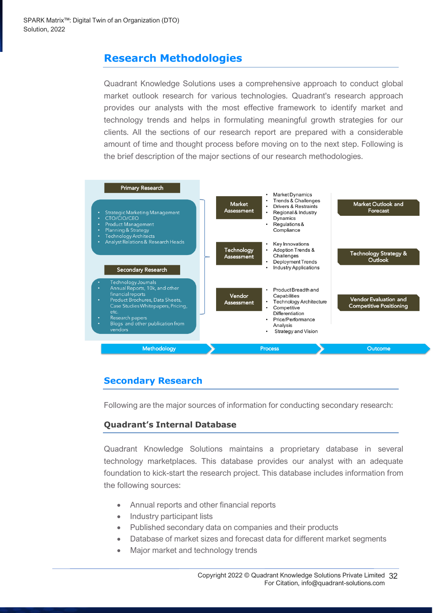# <span id="page-31-0"></span>**Research Methodologies**

Quadrant Knowledge Solutions uses a comprehensive approach to conduct global market outlook research for various technologies. Quadrant's research approach provides our analysts with the most effective framework to identify market and technology trends and helps in formulating meaningful growth strategies for our clients. All the sections of our research report are prepared with a considerable amount of time and thought process before moving on to the next step. Following is the brief description of the major sections of our research methodologies.



### **Secondary Research**

Following are the major sources of information for conducting secondary research:

### **Quadrant's Internal Database**

Quadrant Knowledge Solutions maintains a proprietary database in several technology marketplaces. This database provides our analyst with an adequate foundation to kick-start the research project. This database includes information from the following sources:

- Annual reports and other financial reports
- Industry participant lists
- Published secondary data on companies and their products
- Database of market sizes and forecast data for different market segments
- Major market and technology trends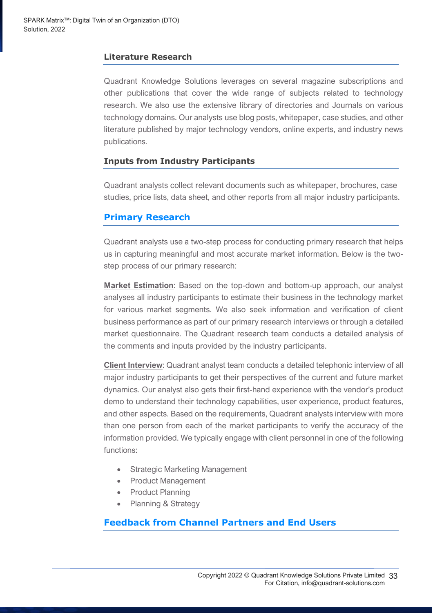### **Literature Research**

Quadrant Knowledge Solutions leverages on several magazine subscriptions and other publications that cover the wide range of subjects related to technology research. We also use the extensive library of directories and Journals on various technology domains. Our analysts use blog posts, whitepaper, case studies, and other literature published by major technology vendors, online experts, and industry news publications.

### **Inputs from Industry Participants**

Quadrant analysts collect relevant documents such as whitepaper, brochures, case studies, price lists, data sheet, and other reports from all major industry participants.

### **Primary Research**

Quadrant analysts use a two-step process for conducting primary research that helps us in capturing meaningful and most accurate market information. Below is the twostep process of our primary research:

**Market Estimation**: Based on the top-down and bottom-up approach, our analyst analyses all industry participants to estimate their business in the technology market for various market segments. We also seek information and verification of client business performance as part of our primary research interviews or through a detailed market questionnaire. The Quadrant research team conducts a detailed analysis of the comments and inputs provided by the industry participants.

**Client Interview**: Quadrant analyst team conducts a detailed telephonic interview of all major industry participants to get their perspectives of the current and future market dynamics. Our analyst also gets their first-hand experience with the vendor's product demo to understand their technology capabilities, user experience, product features, and other aspects. Based on the requirements, Quadrant analysts interview with more than one person from each of the market participants to verify the accuracy of the information provided. We typically engage with client personnel in one of the following functions:

- Strategic Marketing Management
- Product Management
- Product Planning
- Planning & Strategy

### **Feedback from Channel Partners and End Users**